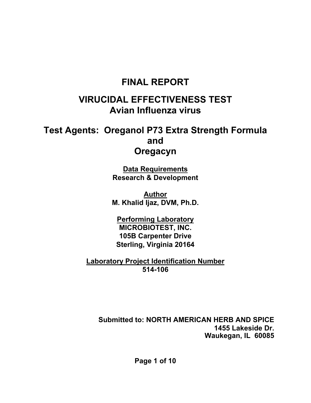# **FINAL REPORT**

# **VIRUCIDAL EFFECTIVENESS TEST Avian Influenza virus**

# **Test Agents: Oreganol P73 Extra Strength Formula and Oregacyn**

**Data Requirements Research & Development** 

**Author M. Khalid Ijaz, DVM, Ph.D.** 

**Performing Laboratory MICROBIOTEST, INC. 105B Carpenter Drive Sterling, Virginia 20164** 

**Laboratory Project Identification Number 514-106** 

**Submitted to: NORTH AMERICAN HERB AND SPICE 1455 Lakeside Dr. Waukegan, IL 60085**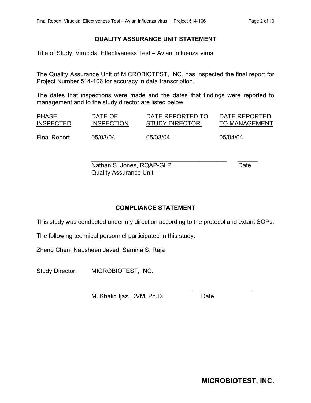#### **QUALITY ASSURANCE UNIT STATEMENT**

Title of Study: Virucidal Effectiveness Test – Avian Influenza virus

The Quality Assurance Unit of MICROBIOTEST, INC. has inspected the final report for Project Number 514-106 for accuracy in data transcription.

The dates that inspections were made and the dates that findings were reported to management and to the study director are listed below.

| <b>PHASE</b>     | DATE OF           | DATE REPORTED TO      | DATE REPORTED        |
|------------------|-------------------|-----------------------|----------------------|
| <b>INSPECTED</b> | <b>INSPECTION</b> | <b>STUDY DIRECTOR</b> | <b>TO MANAGEMENT</b> |
| Final Report     | 05/03/04          | 05/03/04              | 05/04/04             |

\_\_\_\_\_\_\_\_\_\_\_\_\_\_\_\_\_\_\_\_\_\_\_\_\_\_\_\_\_\_\_\_\_\_\_\_\_\_\_\_ \_\_\_\_\_\_ Nathan S. Jones, RQAP-GLP Date Quality Assurance Unit

\_\_\_\_\_\_\_\_\_\_\_\_\_\_\_\_\_\_\_\_\_\_\_\_\_\_\_\_\_\_ \_\_\_\_\_\_\_\_\_\_\_\_\_\_\_

### **COMPLIANCE STATEMENT**

This study was conducted under my direction according to the protocol and extant SOPs.

The following technical personnel participated in this study:

Zheng Chen, Nausheen Javed, Samina S. Raja

Study Director: MICROBIOTEST, INC.

M. Khalid Ijaz, DVM, Ph.D. Date

**MICROBIOTEST, INC.**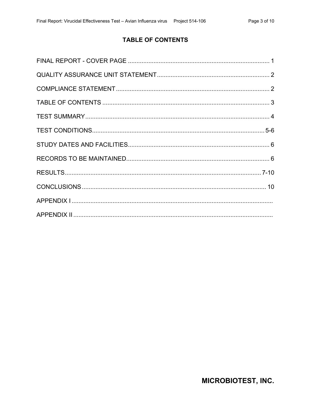# **TABLE OF CONTENTS**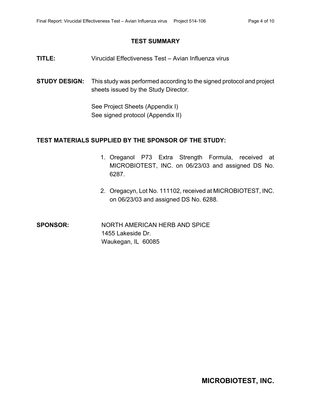### **TEST SUMMARY**

- **TITLE:** Virucidal Effectiveness Test Avian Influenza virus
- **STUDY DESIGN:** This study was performed according to the signed protocol and project sheets issued by the Study Director.

See Project Sheets (Appendix I) See signed protocol (Appendix II)

### **TEST MATERIALS SUPPLIED BY THE SPONSOR OF THE STUDY:**

- 1. Oreganol P73 Extra Strength Formula, received at MICROBIOTEST, INC. on 06/23/03 and assigned DS No. 6287.
- 2. Oregacyn, Lot No. 111102, received at MICROBIOTEST, INC. on 06/23/03 and assigned DS No. 6288.
- **SPONSOR:** NORTH AMERICAN HERB AND SPICE 1455 Lakeside Dr. Waukegan, IL 60085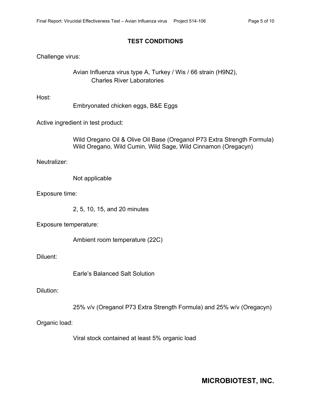### **TEST CONDITIONS**

Challenge virus:

Avian Influenza virus type A, Turkey / Wis / 66 strain (H9N2), Charles River Laboratories

Host:

Embryonated chicken eggs, B&E Eggs

Active ingredient in test product:

 Wild Oregano Oil & Olive Oil Base (Oreganol P73 Extra Strength Formula) Wild Oregano, Wild Cumin, Wild Sage, Wild Cinnamon (Oregacyn)

Neutralizer:

Not applicable

Exposure time:

2, 5, 10, 15, and 20 minutes

Exposure temperature:

Ambient room temperature (22C)

Diluent:

Earle's Balanced Salt Solution

Dilution:

25% v/v (Oreganol P73 Extra Strength Formula) and 25% w/v (Oregacyn)

Organic load:

Viral stock contained at least 5% organic load

**MICROBIOTEST, INC.**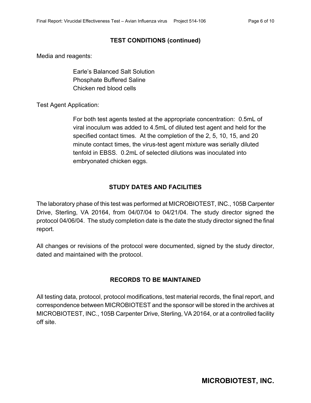## **TEST CONDITIONS (continued)**

Media and reagents:

Earle's Balanced Salt Solution Phosphate Buffered Saline Chicken red blood cells

Test Agent Application:

For both test agents tested at the appropriate concentration: 0.5mL of viral inoculum was added to 4.5mL of diluted test agent and held for the specified contact times. At the completion of the 2, 5, 10, 15, and 20 minute contact times, the virus-test agent mixture was serially diluted tenfold in EBSS. 0.2mL of selected dilutions was inoculated into embryonated chicken eggs.

# **STUDY DATES AND FACILITIES**

The laboratory phase of this test was performed at MICROBIOTEST, INC., 105B Carpenter Drive, Sterling, VA 20164, from 04/07/04 to 04/21/04. The study director signed the protocol 04/06/04. The study completion date is the date the study director signed the final report.

All changes or revisions of the protocol were documented, signed by the study director, dated and maintained with the protocol.

# **RECORDS TO BE MAINTAINED**

All testing data, protocol, protocol modifications, test material records, the final report, and correspondence between MICROBIOTEST and the sponsor will be stored in the archives at MICROBIOTEST, INC., 105B Carpenter Drive, Sterling, VA 20164, or at a controlled facility off site.

**MICROBIOTEST, INC.**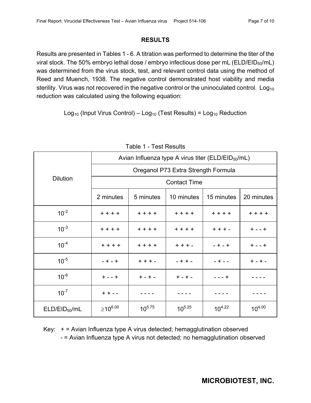### **RESULTS**

Results are presented in Tables 1 - 6. A titration was performed to determine the titer of the viral stock. The 50% embryo lethal dose / embryo infectious dose per mL ( $ELD/EID<sub>50</sub>/mL$ ) was determined from the virus stock, test, and relevant control data using the method of Reed and Muench, 1938. The negative control demonstrated host viability and media sterility. Virus was not recovered in the negative control or the uninoculated control. Log<sub>10</sub> reduction was calculated using the following equation:

Log<sub>10</sub> (Input Virus Control) – Log<sub>10</sub> (Test Results) = Log<sub>10</sub> Reduction

|                           | Avian Influenza type A virus titer (ELD/EID $_{50}$ /mL) |             |             |             |             |
|---------------------------|----------------------------------------------------------|-------------|-------------|-------------|-------------|
|                           | Oreganol P73 Extra Strength Formula                      |             |             |             |             |
| <b>Dilution</b>           | <b>Contact Time</b>                                      |             |             |             |             |
|                           | 2 minutes                                                | 5 minutes   | 10 minutes  | 15 minutes  | 20 minutes  |
| $10^{-2}$                 | $+ + + +$                                                | $+ + + +$   | $+ + + +$   | $+ + + +$   | $+ + + +$   |
| $10^{-3}$                 | $+ + + +$                                                | $+ + + +$   | $+ + + +$   | $+ + + -$   | $+ - - +$   |
| $10^{-4}$                 | $+ + + +$                                                | $+ + + +$   | $+ + + -$   | $- + - +$   | $+ - - +$   |
| $10^{-5}$                 | $- + - +$                                                | $+ + + -$   | $- + + -$   | $- + - -$   | $+ - + -$   |
| $10^{-6}$                 | $+ - - +$                                                | $+ - + -$   | $+ - + -$   | $- - - +$   |             |
| $10^{-7}$                 | $+ + - -$                                                |             |             |             |             |
| ELD/EID <sub>50</sub> /mL | $≥10^{6.00}$                                             | $10^{5.75}$ | $10^{5.25}$ | $10^{4.22}$ | $10^{4.00}$ |

|  |  |  | Table 1 - Test Results |
|--|--|--|------------------------|
|--|--|--|------------------------|

Key:  $+$  = Avian Influenza type A virus detected; hemagglutination observed - = Avian Influenza type A virus not detected; no hemagglutination observed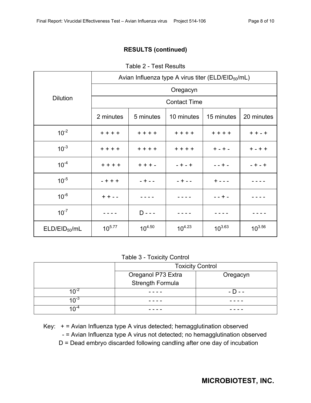# **RESULTS (continued)**

Table 2 - Test Results

|                           | Avian Influenza type A virus titer (ELD/EID $_{50}$ /mL) |             |             |             |             |
|---------------------------|----------------------------------------------------------|-------------|-------------|-------------|-------------|
|                           | Oregacyn                                                 |             |             |             |             |
| <b>Dilution</b>           | <b>Contact Time</b>                                      |             |             |             |             |
|                           | 2 minutes                                                | 5 minutes   | 10 minutes  | 15 minutes  | 20 minutes  |
| $10^{-2}$                 | $+ + + +$                                                | $+ + + +$   | $+ + + +$   | $+ + + +$   | $+ + - +$   |
| $10^{-3}$                 | $+ + + +$                                                | $+ + + +$   | $+ + + +$   | $+ - + -$   | $+ - + +$   |
| $10^{-4}$                 | $+ + + +$                                                | $+ + + -$   | $- + - +$   | $- - + -$   | $- + - +$   |
| $10^{-5}$                 | $- + + +$                                                | $- + - -$   | $- + - -$   | $+ - - -$   |             |
| $10^{-6}$                 | $+ + - -$                                                |             |             | $- - + -$   |             |
| $10^{-7}$                 |                                                          | $D - - -$   |             |             |             |
| ELD/EID <sub>50</sub> /mL | $10^{5.77}$                                              | $10^{4.50}$ | $10^{4.23}$ | $10^{3.63}$ | $10^{3.56}$ |

### Table 3 - Toxicity Control

|                  | <b>Toxicity Control</b> |          |  |  |
|------------------|-------------------------|----------|--|--|
|                  | Oreganol P73 Extra      | Oregacyn |  |  |
|                  | <b>Strength Formula</b> |          |  |  |
|                  |                         | $-D - -$ |  |  |
| 1∩ <sup>-ວ</sup> |                         |          |  |  |
|                  |                         |          |  |  |

Key: + = Avian Influenza type A virus detected; hemagglutination observed

- = Avian Influenza type A virus not detected; no hemagglutination observed

D = Dead embryo discarded following candling after one day of incubation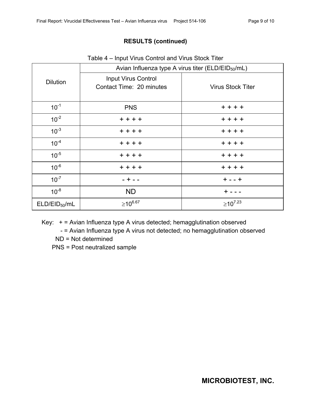# **RESULTS (continued)**

|                           | Avian Influenza type A virus titer (ELD/EID $_{50}$ /mL) |                          |  |  |  |
|---------------------------|----------------------------------------------------------|--------------------------|--|--|--|
| <b>Dilution</b>           | <b>Input Virus Control</b><br>Contact Time: 20 minutes   | <b>Virus Stock Titer</b> |  |  |  |
| $10^{-1}$                 | <b>PNS</b>                                               | $+ + + +$                |  |  |  |
| $10^{-2}$                 | $+ + + +$                                                | $+ + + +$                |  |  |  |
| $10^{-3}$                 | $+ + + +$                                                | $+ + + +$                |  |  |  |
| $10^{-4}$                 | $+ + + +$                                                | $+ + + +$                |  |  |  |
| $10^{-5}$                 | $+ + + +$                                                | $+ + + +$                |  |  |  |
| $10^{-6}$                 | $+ + + +$                                                | $+ + + +$                |  |  |  |
| $10^{-7}$                 | $- + - -$                                                | $+ - - +$                |  |  |  |
| $10^{-8}$                 | <b>ND</b>                                                | $+$ - - -                |  |  |  |
| ELD/EID <sub>50</sub> /mL | $≥10^{6.67}$                                             | $≥10^{7.23}$             |  |  |  |

Key: + = Avian Influenza type A virus detected; hemagglutination observed

- = Avian Influenza type A virus not detected; no hemagglutination observed

ND = Not determined

PNS = Post neutralized sample